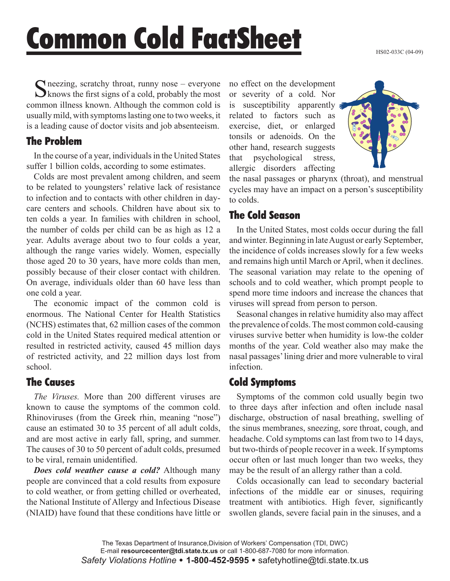HS02-033C (04-09)

# Common Cold FactSheet

Sneezing, scratchy throat, runny nose – everyone<br>
Sknows the first signs of a cold, probably the most common illness known. Although the common cold is usually mild, with symptoms lasting one to two weeks, it is a leading cause of doctor visits and job absenteeism.

#### The Problem

In the course of a year, individuals in the United States suffer 1 billion colds, according to some estimates.

Colds are most prevalent among children, and seem to be related to youngsters' relative lack of resistance to infection and to contacts with other children in daycare centers and schools. Children have about six to ten colds a year. In families with children in school, the number of colds per child can be as high as 12 a year. Adults average about two to four colds a year, although the range varies widely. Women, especially those aged 20 to 30 years, have more colds than men, possibly because of their closer contact with children. On average, individuals older than 60 have less than one cold a year.

The economic impact of the common cold is enormous. The National Center for Health Statistics (NCHS) estimates that, 62 million cases of the common cold in the United States required medical attention or resulted in restricted activity, caused 45 million days of restricted activity, and 22 million days lost from school.

### The Causes

*The Viruses.* More than 200 different viruses are known to cause the symptoms of the common cold. Rhinoviruses (from the Greek rhin, meaning "nose") cause an estimated 30 to 35 percent of all adult colds, and are most active in early fall, spring, and summer. The causes of 30 to 50 percent of adult colds, presumed to be viral, remain unidentified.

*Does cold weather cause a cold?* Although many people are convinced that a cold results from exposure to cold weather, or from getting chilled or overheated, the National Institute of Allergy and Infectious Disease (NIAID) have found that these conditions have little or

no effect on the development or severity of a cold. Nor is susceptibility apparently related to factors such as exercise, diet, or enlarged tonsils or adenoids. On the other hand, research suggests that psychological stress, allergic disorders affecting



the nasal passages or pharynx (throat), and menstrual cycles may have an impact on a person's susceptibility to colds.

## The Cold Season

In the United States, most colds occur during the fall and winter. Beginning in late August or early September, the incidence of colds increases slowly for a few weeks and remains high until March or April, when it declines. The seasonal variation may relate to the opening of schools and to cold weather, which prompt people to spend more time indoors and increase the chances that viruses will spread from person to person.

Seasonal changes in relative humidity also may affect the prevalence of colds. The most common cold-causing viruses survive better when humidity is low-the colder months of the year. Cold weather also may make the nasal passages' lining drier and more vulnerable to viral infection.

### Cold Symptoms

Symptoms of the common cold usually begin two to three days after infection and often include nasal discharge, obstruction of nasal breathing, swelling of the sinus membranes, sneezing, sore throat, cough, and headache. Cold symptoms can last from two to 14 days, but two-thirds of people recover in a week. If symptoms occur often or last much longer than two weeks, they may be the result of an allergy rather than a cold.

Colds occasionally can lead to secondary bacterial infections of the middle ear or sinuses, requiring treatment with antibiotics. High fever, significantly swollen glands, severe facial pain in the sinuses, and a